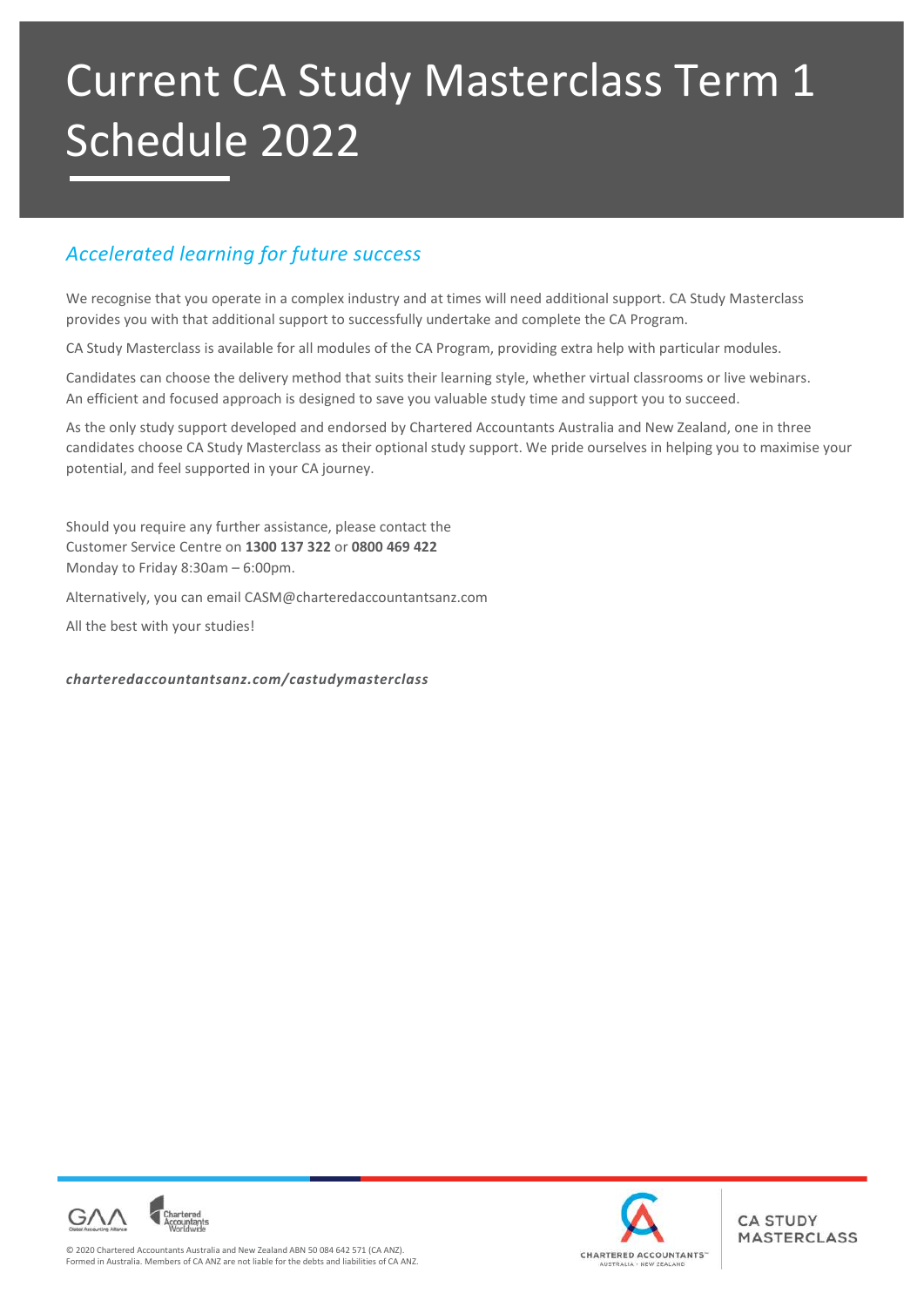# Current CA Study Masterclass Term 1 Schedule 2022

# *Accelerated learning for future success*

We recognise that you operate in a complex industry and at times will need additional support. CA Study Masterclass provides you with that additional support to successfully undertake and complete the CA Program.

CA Study Masterclass is available for all modules of the CA Program, providing extra help with particular modules.

Candidates can choose the delivery method that suits their learning style, whether virtual classrooms or live webinars. An efficient and focused approach is designed to save you valuable study time and support you to succeed.

As the only study support developed and endorsed by Chartered Accountants Australia and New Zealand, one in three candidates choose CA Study Masterclass as their optional study support. We pride ourselves in helping you to maximise your potential, and feel supported in your CA journey.

Should you require any further assistance, please contact the Customer Service Centre on **1300 137 322** or **0800 469 422**  Monday to Friday 8:30am – 6:00pm.

Alternatively, you can email CASM@charteredaccountantsanz.com

All the best with your studies!

#### *charteredaccountantsanz.com/castudymasterclass*



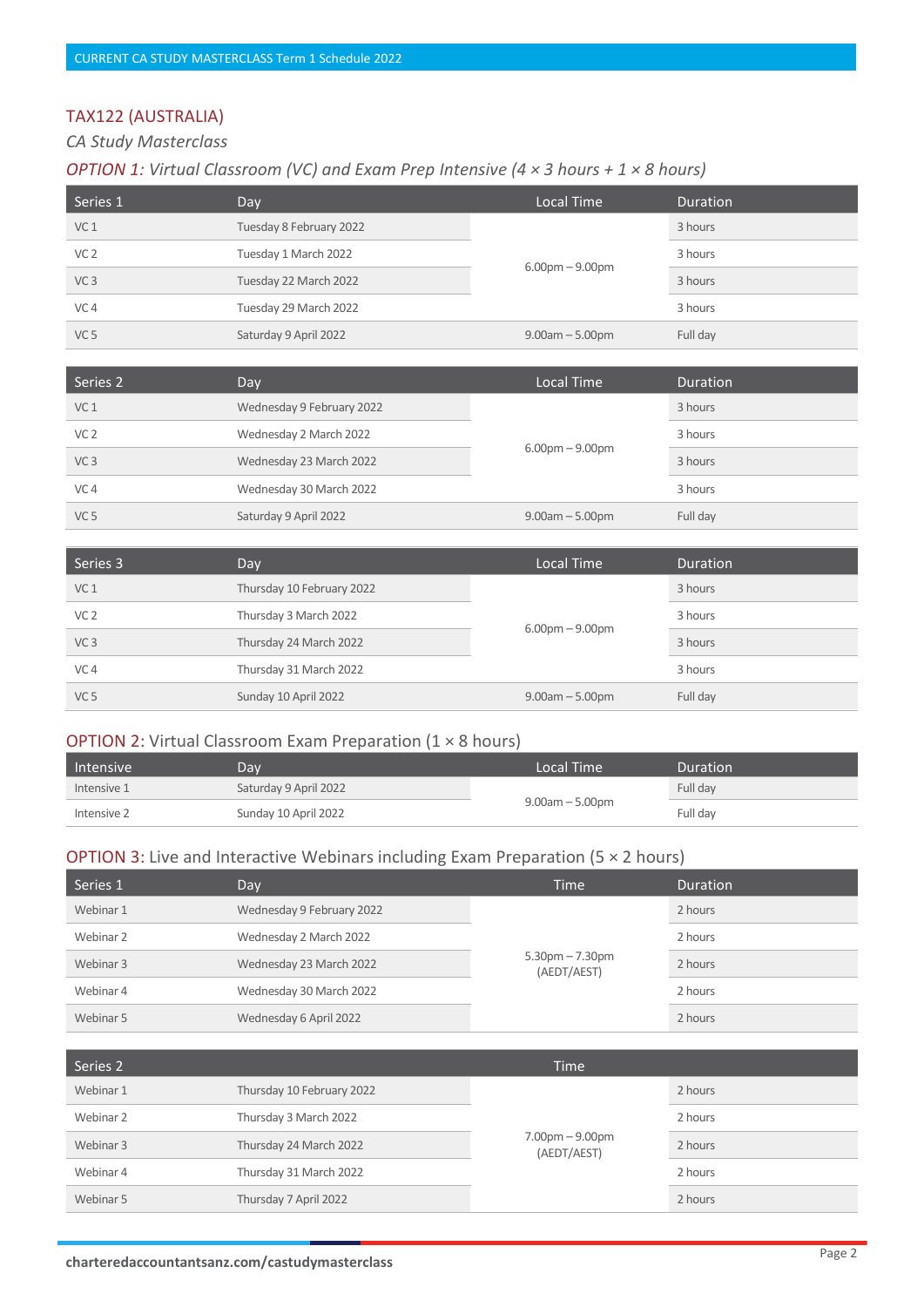# TAX122 (AUSTRALIA)

*CA Study Masterclass* 

#### *OPTION 1: Virtual Classroom (VC) and Exam Prep Intensive (4 × 3 hours + 1 × 8 hours)*

| Series 1        | Day                     | 'Local Time          | Duration |
|-----------------|-------------------------|----------------------|----------|
| VC <sub>1</sub> | Tuesday 8 February 2022 | $6.00$ pm $-9.00$ pm | 3 hours  |
| VC <sub>2</sub> | Tuesday 1 March 2022    |                      | 3 hours  |
| VC <sub>3</sub> | Tuesday 22 March 2022   |                      | 3 hours  |
| VC <sub>4</sub> | Tuesday 29 March 2022   |                      | 3 hours  |
| VC <sub>5</sub> | Saturday 9 April 2022   | $9.00am - 5.00pm$    | Full day |

| Series 2        | Day                       | Local Time                        | Duration |
|-----------------|---------------------------|-----------------------------------|----------|
| VC <sub>1</sub> | Wednesday 9 February 2022 | $6.00 \text{pm} - 9.00 \text{pm}$ | 3 hours  |
| VC <sub>2</sub> | Wednesday 2 March 2022    |                                   | 3 hours  |
| VC <sub>3</sub> | Wednesday 23 March 2022   |                                   | 3 hours  |
| VC <sub>4</sub> | Wednesday 30 March 2022   |                                   | 3 hours  |
| VC <sub>5</sub> | Saturday 9 April 2022     | $9.00am - 5.00pm$                 | Full day |

| Series 3        | Day                       | Local Time        | <b>Duration</b> |
|-----------------|---------------------------|-------------------|-----------------|
| VC <sub>1</sub> | Thursday 10 February 2022 | $6.00pm - 9.00pm$ | 3 hours         |
| VC <sub>2</sub> | Thursday 3 March 2022     |                   | 3 hours         |
| VC <sub>3</sub> | Thursday 24 March 2022    |                   | 3 hours         |
| VC <sub>4</sub> | Thursday 31 March 2022    |                   | 3 hours         |
| VC <sub>5</sub> | Sunday 10 April 2022      | $9.00am - 5.00pm$ | Full day        |

#### OPTION 2: Virtual Classroom Exam Preparation (1 × 8 hours)

| Intensive   | Dav                   | Local Time           | Duration |
|-------------|-----------------------|----------------------|----------|
| Intensive 1 | Saturday 9 April 2022 | $9.00$ am $-5.00$ pm | Full day |
| Intensive 2 | Sunday 10 April 2022  |                      | Full dav |

| Series 1  | Day                       | <b>Time</b>                          | <b>Duration</b> |
|-----------|---------------------------|--------------------------------------|-----------------|
| Webinar 1 | Wednesday 9 February 2022 | $5.30$ pm $- 7.30$ pm<br>(AEDT/AEST) | 2 hours         |
| Webinar 2 | Wednesday 2 March 2022    |                                      | 2 hours         |
| Webinar 3 | Wednesday 23 March 2022   |                                      | 2 hours         |
| Webinar 4 | Wednesday 30 March 2022   |                                      | 2 hours         |
| Webinar 5 | Wednesday 6 April 2022    |                                      | 2 hours         |

| Series 2  |                           | <b>Time</b>                      |         |
|-----------|---------------------------|----------------------------------|---------|
| Webinar 1 | Thursday 10 February 2022 |                                  | 2 hours |
| Webinar 2 | Thursday 3 March 2022     | $7.00pm - 9.00pm$<br>(AEDT/AEST) | 2 hours |
| Webinar 3 | Thursday 24 March 2022    |                                  | 2 hours |
| Webinar 4 | Thursday 31 March 2022    |                                  | 2 hours |
| Webinar 5 | Thursday 7 April 2022     |                                  | 2 hours |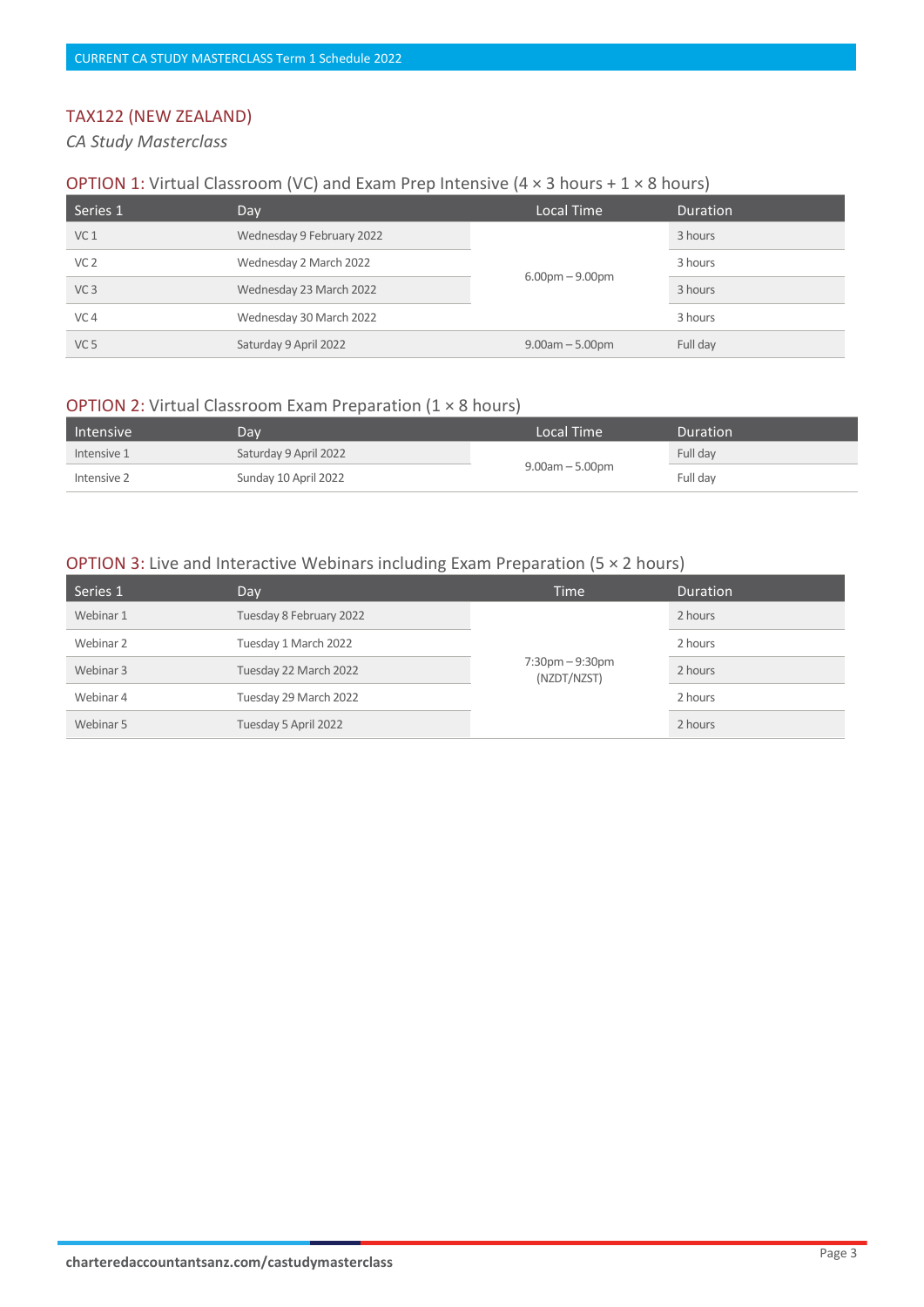## TAX122 (NEW ZEALAND)

*CA Study Masterclass* 

#### **OPTION 1:** Virtual Classroom (VC) and Exam Prep Intensive (4  $\times$  3 hours + 1  $\times$  8 hours)

| Series 1        | Day                       | Local Time        | Duration |
|-----------------|---------------------------|-------------------|----------|
| VC <sub>1</sub> | Wednesday 9 February 2022 | $6.00pm - 9.00pm$ | 3 hours  |
| VC <sub>2</sub> | Wednesday 2 March 2022    |                   | 3 hours  |
| VC <sub>3</sub> | Wednesday 23 March 2022   |                   | 3 hours  |
| VC <sub>4</sub> | Wednesday 30 March 2022   |                   | 3 hours  |
| VC <sub>5</sub> | Saturday 9 April 2022     | $9.00am - 5.00pm$ | Full day |

#### OPTION 2: Virtual Classroom Exam Preparation (1 × 8 hours)

| Intensive   | Day                   | Local Time           | Duration |
|-------------|-----------------------|----------------------|----------|
| Intensive 1 | Saturday 9 April 2022 | $9.00$ am $-5.00$ pm | Full day |
| Intensive 2 | Sunday 10 April 2022  |                      | Full day |

| Series 1  | Day                     | <b>Time</b>                         | <b>Duration</b> |
|-----------|-------------------------|-------------------------------------|-----------------|
| Webinar 1 | Tuesday 8 February 2022 | $7:30$ pm $-9:30$ pm<br>(NZDT/NZST) | 2 hours         |
| Webinar 2 | Tuesday 1 March 2022    |                                     | 2 hours         |
| Webinar 3 | Tuesday 22 March 2022   |                                     | 2 hours         |
| Webinar 4 | Tuesday 29 March 2022   |                                     | 2 hours         |
| Webinar 5 | Tuesday 5 April 2022    |                                     | 2 hours         |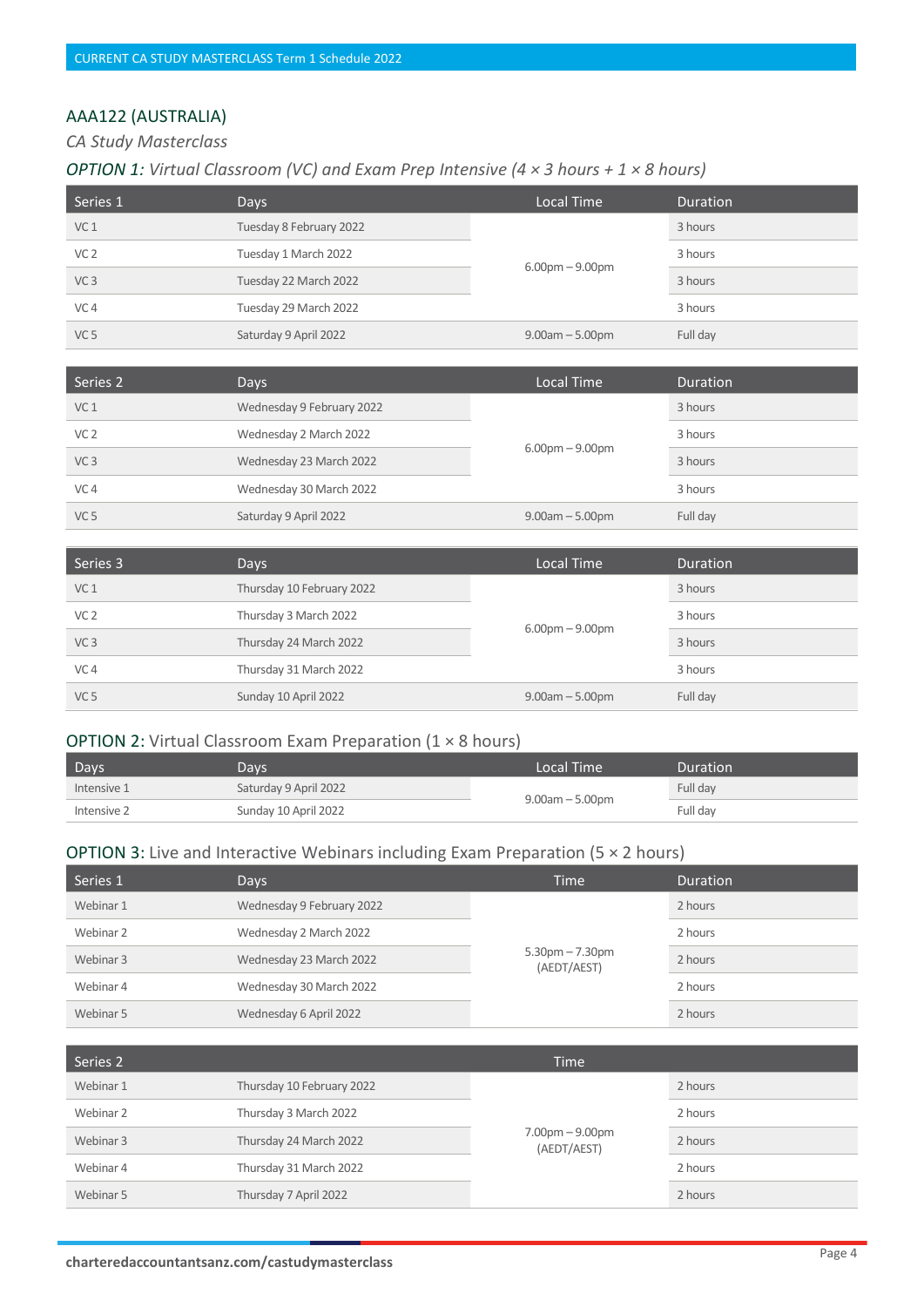# AAA122 (AUSTRALIA)

*CA Study Masterclass* 

#### *OPTION 1: Virtual Classroom (VC) and Exam Prep Intensive (4 × 3 hours + 1 × 8 hours)*

| Series 1        | <b>Days</b>             | Local Time        | <b>Duration</b> |
|-----------------|-------------------------|-------------------|-----------------|
| VC <sub>1</sub> | Tuesday 8 February 2022 | $6.00pm - 9.00pm$ | 3 hours         |
| VC <sub>2</sub> | Tuesday 1 March 2022    |                   | 3 hours         |
| VC <sub>3</sub> | Tuesday 22 March 2022   |                   | 3 hours         |
| VC <sub>4</sub> | Tuesday 29 March 2022   |                   | 3 hours         |
| VC <sub>5</sub> | Saturday 9 April 2022   | $9.00am - 5.00pm$ | Full day        |

| Series 2        | Days                      | Local Time            | Duration |
|-----------------|---------------------------|-----------------------|----------|
| VC <sub>1</sub> | Wednesday 9 February 2022 | $6.00$ pm $- 9.00$ pm | 3 hours  |
| VC <sub>2</sub> | Wednesday 2 March 2022    |                       | 3 hours  |
| VC <sub>3</sub> | Wednesday 23 March 2022   |                       | 3 hours  |
| VC <sub>4</sub> | Wednesday 30 March 2022   |                       | 3 hours  |
| VC <sub>5</sub> | Saturday 9 April 2022     | $9.00am - 5.00pm$     | Full day |

| Series 3        | Days                      | Local Time        | Duration |
|-----------------|---------------------------|-------------------|----------|
| VC <sub>1</sub> | Thursday 10 February 2022 | $6.00pm - 9.00pm$ | 3 hours  |
| VC <sub>2</sub> | Thursday 3 March 2022     |                   | 3 hours  |
| VC <sub>3</sub> | Thursday 24 March 2022    |                   | 3 hours  |
| VC <sub>4</sub> | Thursday 31 March 2022    |                   | 3 hours  |
| VC <sub>5</sub> | Sunday 10 April 2022      | $9.00am - 5.00pm$ | Full day |

#### OPTION 2: Virtual Classroom Exam Preparation (1 × 8 hours)

| Days        | Days                  | Local Time !         | Duration |
|-------------|-----------------------|----------------------|----------|
| Intensive 1 | Saturday 9 April 2022 | $9.00$ am $-5.00$ pm | Full day |
| Intensive 2 | Sunday 10 April 2022  |                      | Full dav |

| Series 1  | Days                      | <b>Time</b>                      | <b>Duration</b> |
|-----------|---------------------------|----------------------------------|-----------------|
| Webinar 1 | Wednesday 9 February 2022 | $5.30pm - 7.30pm$<br>(AEDT/AEST) | 2 hours         |
| Webinar 2 | Wednesday 2 March 2022    |                                  | 2 hours         |
| Webinar 3 | Wednesday 23 March 2022   |                                  | 2 hours         |
| Webinar 4 | Wednesday 30 March 2022   |                                  | 2 hours         |
| Webinar 5 | Wednesday 6 April 2022    |                                  | 2 hours         |

| Series 2  |                           | <b>Time</b>                      |         |
|-----------|---------------------------|----------------------------------|---------|
| Webinar 1 | Thursday 10 February 2022 | $7.00pm - 9.00pm$<br>(AEDT/AEST) | 2 hours |
| Webinar 2 | Thursday 3 March 2022     |                                  | 2 hours |
| Webinar 3 | Thursday 24 March 2022    |                                  | 2 hours |
| Webinar 4 | Thursday 31 March 2022    |                                  | 2 hours |
| Webinar 5 | Thursday 7 April 2022     |                                  | 2 hours |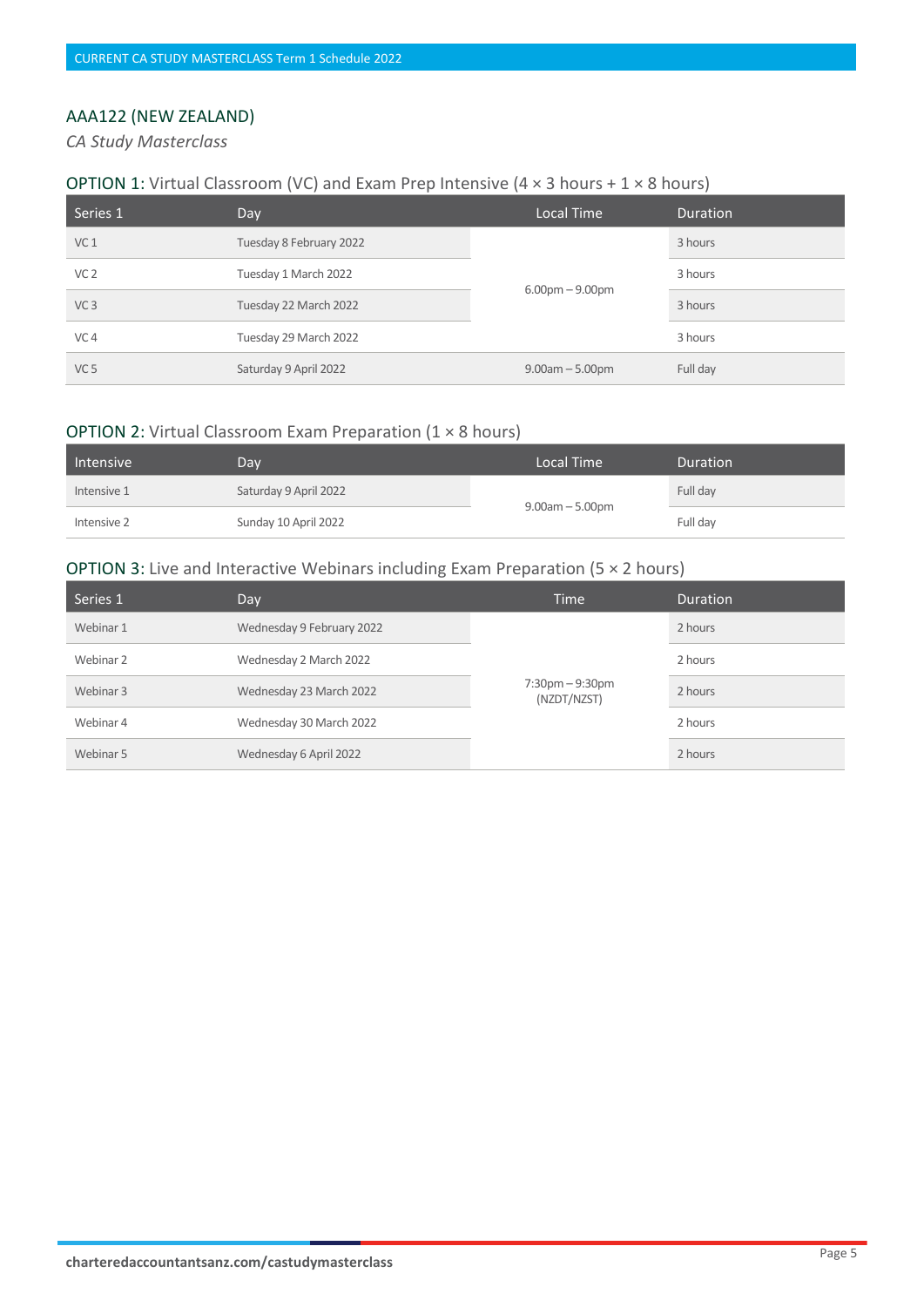# AAA122 (NEW ZEALAND)

*CA Study Masterclass* 

#### **OPTION 1:** Virtual Classroom (VC) and Exam Prep Intensive (4  $\times$  3 hours + 1  $\times$  8 hours)

| Series 1        | Day                     | Local Time           | <b>Duration</b> |
|-----------------|-------------------------|----------------------|-----------------|
| VC <sub>1</sub> | Tuesday 8 February 2022 | $6.00pm - 9.00pm$    | 3 hours         |
| VC <sub>2</sub> | Tuesday 1 March 2022    |                      | 3 hours         |
| VC <sub>3</sub> | Tuesday 22 March 2022   |                      | 3 hours         |
| VC <sub>4</sub> | Tuesday 29 March 2022   |                      | 3 hours         |
| VC <sub>5</sub> | Saturday 9 April 2022   | $9.00$ am $-5.00$ pm | Full day        |

#### OPTION 2: Virtual Classroom Exam Preparation (1 × 8 hours)

| Intensive   | Dav                   | Local Time           | <b>Duration</b> |
|-------------|-----------------------|----------------------|-----------------|
| Intensive 1 | Saturday 9 April 2022 | $9.00$ am $-5.00$ pm | Full day        |
| Intensive 2 | Sunday 10 April 2022  |                      | Full day        |

| Series 1  | Day                       | <b>Time</b>                         | <b>Duration</b> |
|-----------|---------------------------|-------------------------------------|-----------------|
| Webinar 1 | Wednesday 9 February 2022 | $7:30$ pm $-9:30$ pm<br>(NZDT/NZST) | 2 hours         |
| Webinar 2 | Wednesday 2 March 2022    |                                     | 2 hours         |
| Webinar 3 | Wednesday 23 March 2022   |                                     | 2 hours         |
| Webinar 4 | Wednesday 30 March 2022   |                                     | 2 hours         |
| Webinar 5 | Wednesday 6 April 2022    |                                     | 2 hours         |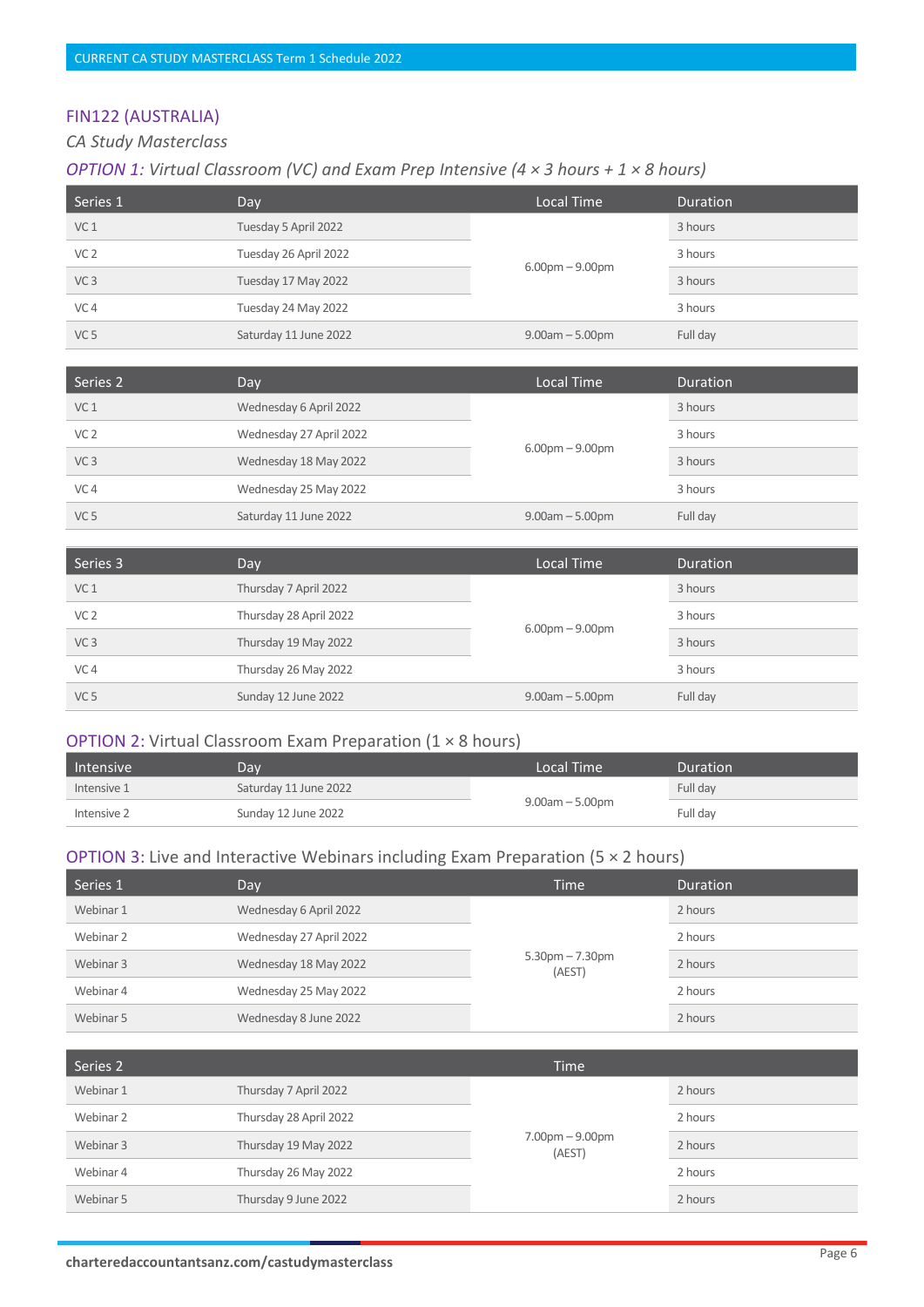# FIN122 (AUSTRALIA)

## *CA Study Masterclass*

#### *OPTION 1: Virtual Classroom (VC) and Exam Prep Intensive (4 × 3 hours + 1 × 8 hours)*

| Series 1        | Day                   | Local Time        | <b>Duration</b> |
|-----------------|-----------------------|-------------------|-----------------|
| VC <sub>1</sub> | Tuesday 5 April 2022  | $6.00pm - 9.00pm$ | 3 hours         |
| VC <sub>2</sub> | Tuesday 26 April 2022 |                   | 3 hours         |
| VC <sub>3</sub> | Tuesday 17 May 2022   |                   | 3 hours         |
| VC <sub>4</sub> | Tuesday 24 May 2022   |                   | 3 hours         |
| VC <sub>5</sub> | Saturday 11 June 2022 | $9.00am - 5.00pm$ | Full day        |

| Series 2        | Day                     | Local Time        | Duration |
|-----------------|-------------------------|-------------------|----------|
| VC <sub>1</sub> | Wednesday 6 April 2022  | $6.00pm - 9.00pm$ | 3 hours  |
| VC <sub>2</sub> | Wednesday 27 April 2022 |                   | 3 hours  |
| VC <sub>3</sub> | Wednesday 18 May 2022   |                   | 3 hours  |
| VC <sub>4</sub> | Wednesday 25 May 2022   |                   | 3 hours  |
| VC <sub>5</sub> | Saturday 11 June 2022   | $9.00am - 5.00pm$ | Full day |

| Series 3        | Day                    | Local Time        | <b>Duration</b> |
|-----------------|------------------------|-------------------|-----------------|
| VC <sub>1</sub> | Thursday 7 April 2022  | $6.00pm - 9.00pm$ | 3 hours         |
| VC <sub>2</sub> | Thursday 28 April 2022 |                   | 3 hours         |
| VC <sub>3</sub> | Thursday 19 May 2022   |                   | 3 hours         |
| VC <sub>4</sub> | Thursday 26 May 2022   |                   | 3 hours         |
| VC <sub>5</sub> | Sunday 12 June 2022    | $9.00am - 5.00pm$ | Full day        |

#### OPTION 2: Virtual Classroom Exam Preparation (1 × 8 hours)

| Intensive   | Dav                   | Local Time           | Duration |
|-------------|-----------------------|----------------------|----------|
| Intensive 1 | Saturday 11 June 2022 | $9.00$ am $-5.00$ pm | Full day |
| Intensive 2 | Sunday 12 June 2022   |                      | Full dav |

| Series 1  | Day                     | <b>Time</b>                 | <b>Duration</b> |
|-----------|-------------------------|-----------------------------|-----------------|
| Webinar 1 | Wednesday 6 April 2022  | $5.30pm - 7.30pm$<br>(AEST) | 2 hours         |
| Webinar 2 | Wednesday 27 April 2022 |                             | 2 hours         |
| Webinar 3 | Wednesday 18 May 2022   |                             | 2 hours         |
| Webinar 4 | Wednesday 25 May 2022   |                             | 2 hours         |
| Webinar 5 | Wednesday 8 June 2022   |                             | 2 hours         |

| Series 2  |                        | <b>Time</b>                 |         |
|-----------|------------------------|-----------------------------|---------|
| Webinar 1 | Thursday 7 April 2022  |                             | 2 hours |
| Webinar 2 | Thursday 28 April 2022 | $7.00pm - 9.00pm$<br>(AEST) | 2 hours |
| Webinar 3 | Thursday 19 May 2022   |                             | 2 hours |
| Webinar 4 | Thursday 26 May 2022   |                             | 2 hours |
| Webinar 5 | Thursday 9 June 2022   |                             | 2 hours |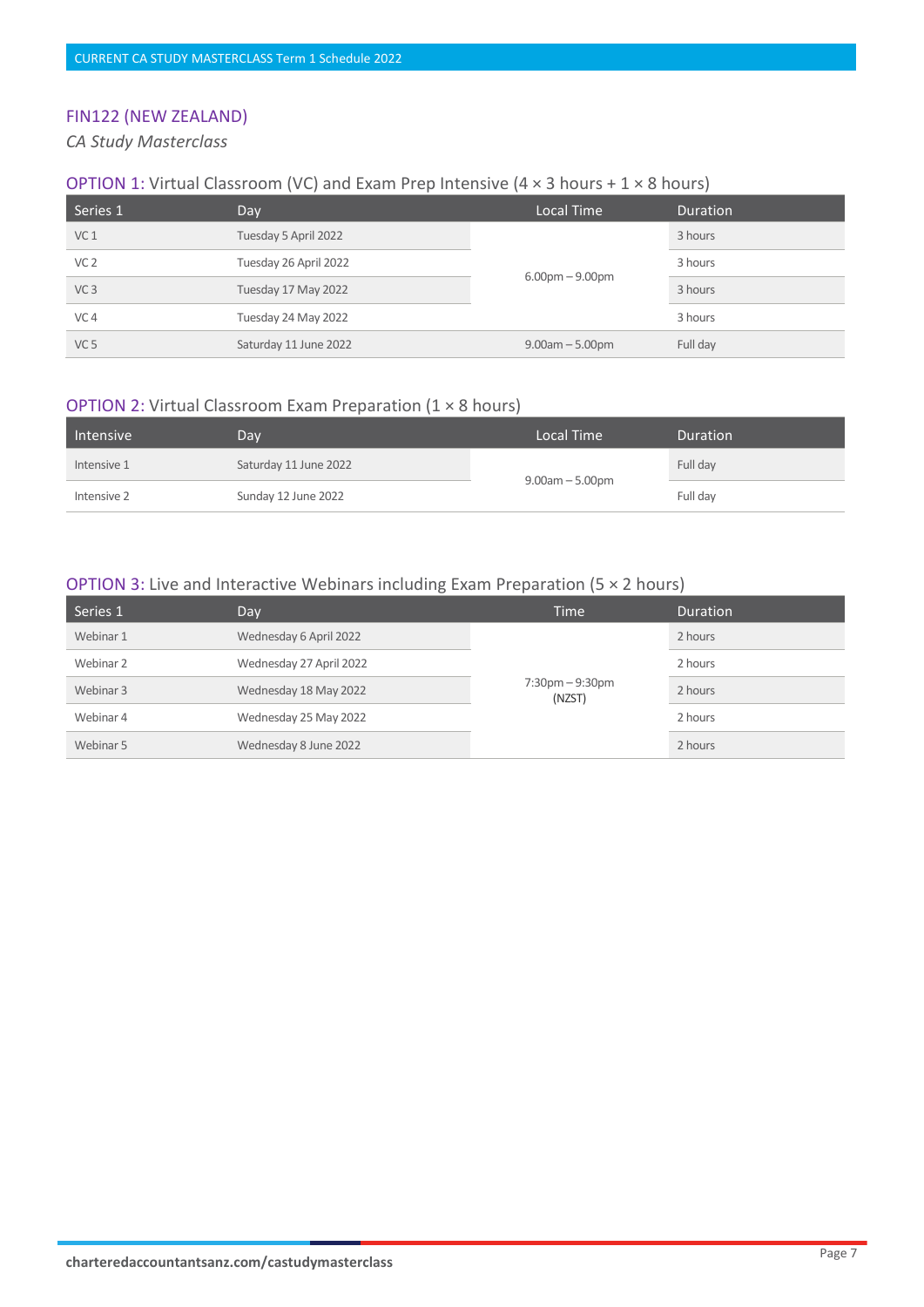# FIN122 (NEW ZEALAND)

*CA Study Masterclass* 

#### **OPTION 1:** Virtual Classroom (VC) and Exam Prep Intensive (4  $\times$  3 hours + 1  $\times$  8 hours)

| Series 1        | Day                   | Local Time        | <b>Duration</b> |
|-----------------|-----------------------|-------------------|-----------------|
| VC <sub>1</sub> | Tuesday 5 April 2022  | $6.00pm - 9.00pm$ | 3 hours         |
| VC <sub>2</sub> | Tuesday 26 April 2022 |                   | 3 hours         |
| VC <sub>3</sub> | Tuesday 17 May 2022   |                   | 3 hours         |
| VC <sub>4</sub> | Tuesday 24 May 2022   |                   | 3 hours         |
| VC <sub>5</sub> | Saturday 11 June 2022 | $9.00am - 5.00pm$ | Full day        |

#### OPTION 2: Virtual Classroom Exam Preparation (1 × 8 hours)

| Intensive   | Dav                   | Local Time           | <b>Duration</b> |
|-------------|-----------------------|----------------------|-----------------|
| Intensive 1 | Saturday 11 June 2022 | $9.00$ am $-5.00$ pm | Full day        |
| Intensive 2 | Sunday 12 June 2022   |                      | Full day        |

| Series 1  | Day                     | Time                                        | <b>Duration</b> |
|-----------|-------------------------|---------------------------------------------|-----------------|
| Webinar 1 | Wednesday 6 April 2022  | $7:30 \text{pm} - 9:30 \text{pm}$<br>(NZST) | 2 hours         |
| Webinar 2 | Wednesday 27 April 2022 |                                             | 2 hours         |
| Webinar 3 | Wednesday 18 May 2022   |                                             | 2 hours         |
| Webinar 4 | Wednesday 25 May 2022   |                                             | 2 hours         |
| Webinar 5 | Wednesday 8 June 2022   |                                             | 2 hours         |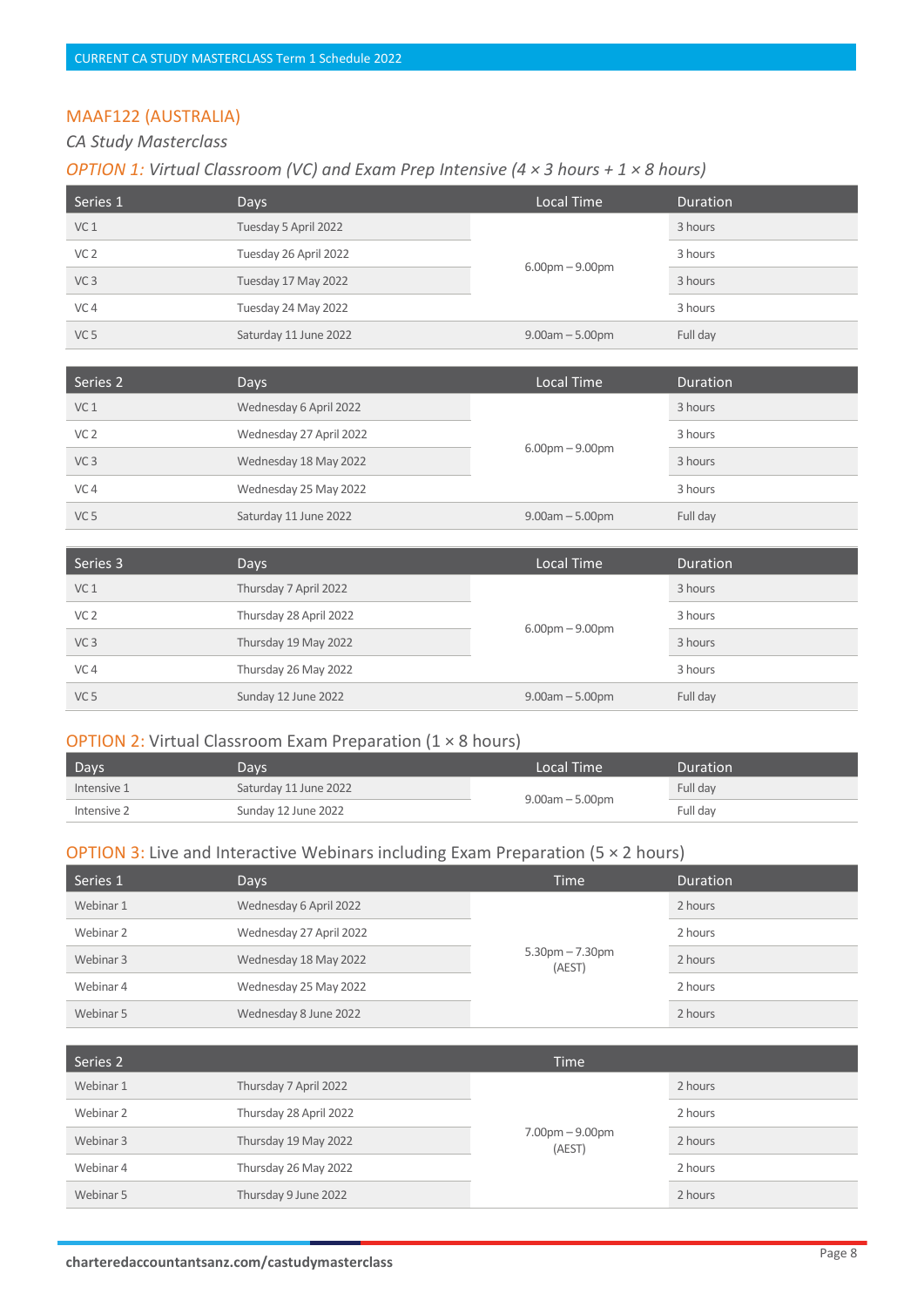# MAAF122 (AUSTRALIA)

#### *CA Study Masterclass*

# *OPTION 1: Virtual Classroom (VC) and Exam Prep Intensive (4 × 3 hours + 1 × 8 hours)*

| Series 1        | Days                  | Local Time        | <b>Duration</b> |
|-----------------|-----------------------|-------------------|-----------------|
| VC <sub>1</sub> | Tuesday 5 April 2022  | $6.00pm - 9.00pm$ | 3 hours         |
| VC <sub>2</sub> | Tuesday 26 April 2022 |                   | 3 hours         |
| VC <sub>3</sub> | Tuesday 17 May 2022   |                   | 3 hours         |
| VC <sub>4</sub> | Tuesday 24 May 2022   |                   | 3 hours         |
| VC <sub>5</sub> | Saturday 11 June 2022 | $9.00am - 5.00pm$ | Full day        |

| Series 2        | Days                    | Local Time        | Duration |
|-----------------|-------------------------|-------------------|----------|
| VC <sub>1</sub> | Wednesday 6 April 2022  | $6.00pm - 9.00pm$ | 3 hours  |
| VC <sub>2</sub> | Wednesday 27 April 2022 |                   | 3 hours  |
| VC <sub>3</sub> | Wednesday 18 May 2022   |                   | 3 hours  |
| VC <sub>4</sub> | Wednesday 25 May 2022   |                   | 3 hours  |
| VC <sub>5</sub> | Saturday 11 June 2022   | $9.00am - 5.00pm$ | Full day |

| Series 3        | Days                   | Local Time        | <b>Duration</b> |
|-----------------|------------------------|-------------------|-----------------|
| VC <sub>1</sub> | Thursday 7 April 2022  | $6.00pm - 9.00pm$ | 3 hours         |
| VC <sub>2</sub> | Thursday 28 April 2022 |                   | 3 hours         |
| VC <sub>3</sub> | Thursday 19 May 2022   |                   | 3 hours         |
| VC <sub>4</sub> | Thursday 26 May 2022   |                   | 3 hours         |
| VC <sub>5</sub> | Sunday 12 June 2022    | $9.00am - 5.00pm$ | Full day        |

#### OPTION 2: Virtual Classroom Exam Preparation (1 × 8 hours)

| Days        | Days,                 | Local Time           | Duration |
|-------------|-----------------------|----------------------|----------|
| Intensive 1 | Saturday 11 June 2022 | $9.00$ am $-5.00$ pm | Full day |
| Intensive 2 | Sunday 12 June 2022   |                      | Full dav |

| Series 1  | Days                    | <b>Time</b>                 | <b>Duration</b> |
|-----------|-------------------------|-----------------------------|-----------------|
| Webinar 1 | Wednesday 6 April 2022  | $5.30pm - 7.30pm$<br>(AEST) | 2 hours         |
| Webinar 2 | Wednesday 27 April 2022 |                             | 2 hours         |
| Webinar 3 | Wednesday 18 May 2022   |                             | 2 hours         |
| Webinar 4 | Wednesday 25 May 2022   |                             | 2 hours         |
| Webinar 5 | Wednesday 8 June 2022   |                             | 2 hours         |

| Series 2  |                        | <b>Time</b>                 |         |
|-----------|------------------------|-----------------------------|---------|
| Webinar 1 | Thursday 7 April 2022  | $7.00pm - 9.00pm$<br>(AEST) | 2 hours |
| Webinar 2 | Thursday 28 April 2022 |                             | 2 hours |
| Webinar 3 | Thursday 19 May 2022   |                             | 2 hours |
| Webinar 4 | Thursday 26 May 2022   |                             | 2 hours |
| Webinar 5 | Thursday 9 June 2022   |                             | 2 hours |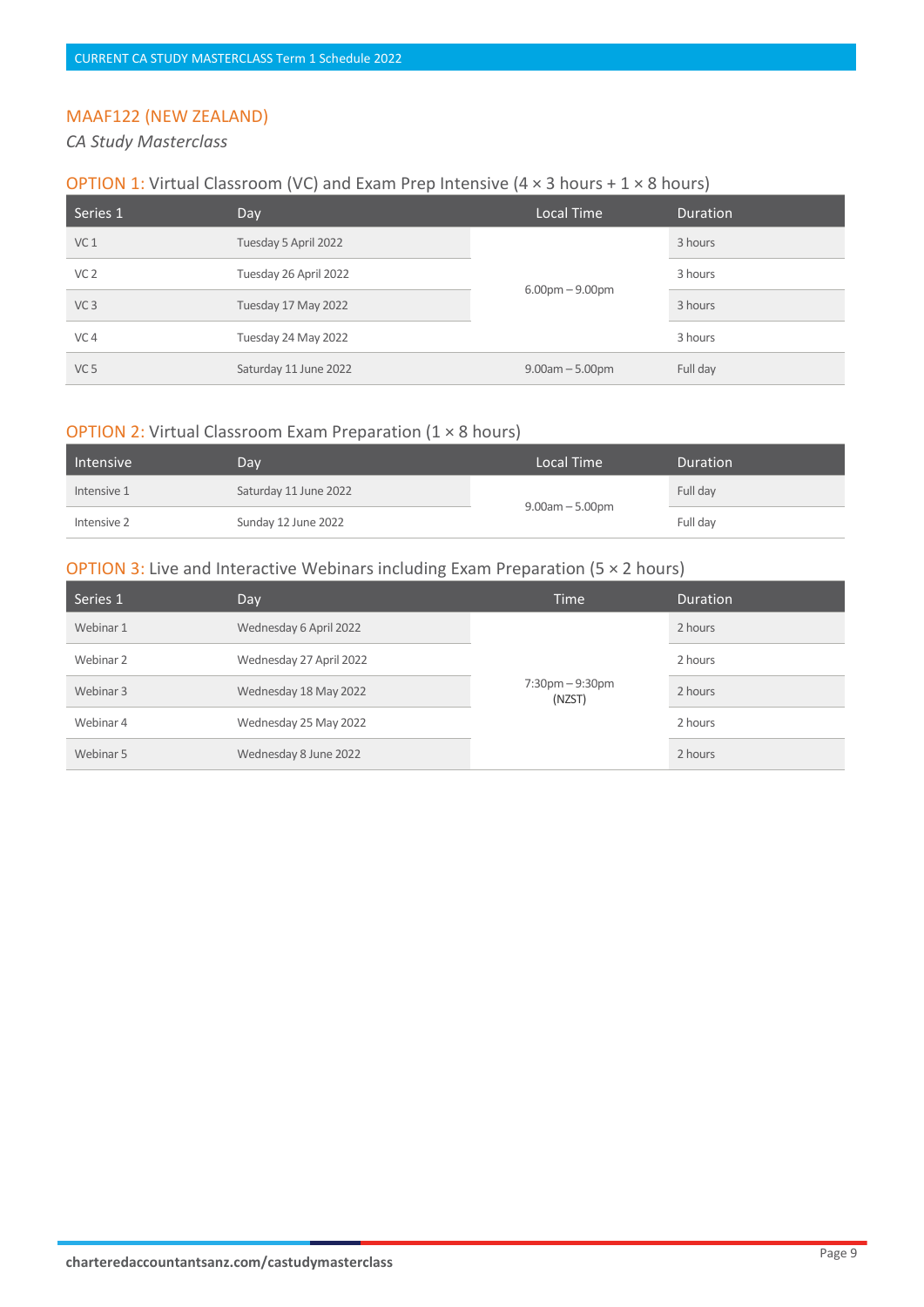## MAAF122 (NEW ZEALAND)

#### *CA Study Masterclass*

#### **OPTION 1:** Virtual Classroom (VC) and Exam Prep Intensive (4  $\times$  3 hours + 1  $\times$  8 hours)

| Series 1        | Day                   | Local Time                        | <b>Duration</b> |
|-----------------|-----------------------|-----------------------------------|-----------------|
| VC <sub>1</sub> | Tuesday 5 April 2022  | $6.00 \text{pm} - 9.00 \text{pm}$ | 3 hours         |
| VC <sub>2</sub> | Tuesday 26 April 2022 |                                   | 3 hours         |
| VC <sub>3</sub> | Tuesday 17 May 2022   |                                   | 3 hours         |
| VC <sub>4</sub> | Tuesday 24 May 2022   |                                   | 3 hours         |
| VC <sub>5</sub> | Saturday 11 June 2022 | $9.00am - 5.00pm$                 | Full day        |

#### OPTION 2: Virtual Classroom Exam Preparation (1 × 8 hours)

| Intensive   | Dav                   | Local Time      | Duration |
|-------------|-----------------------|-----------------|----------|
| Intensive 1 | Saturday 11 June 2022 | 9.00am - 5.00pm | Full day |
| Intensive 2 | Sunday 12 June 2022   |                 | Full day |

| Series 1  | Day                     | Time                                        | <b>Duration</b> |
|-----------|-------------------------|---------------------------------------------|-----------------|
| Webinar 1 | Wednesday 6 April 2022  | $7:30 \text{pm} - 9:30 \text{pm}$<br>(NZST) | 2 hours         |
| Webinar 2 | Wednesday 27 April 2022 |                                             | 2 hours         |
| Webinar 3 | Wednesday 18 May 2022   |                                             | 2 hours         |
| Webinar 4 | Wednesday 25 May 2022   |                                             | 2 hours         |
| Webinar 5 | Wednesday 8 June 2022   |                                             | 2 hours         |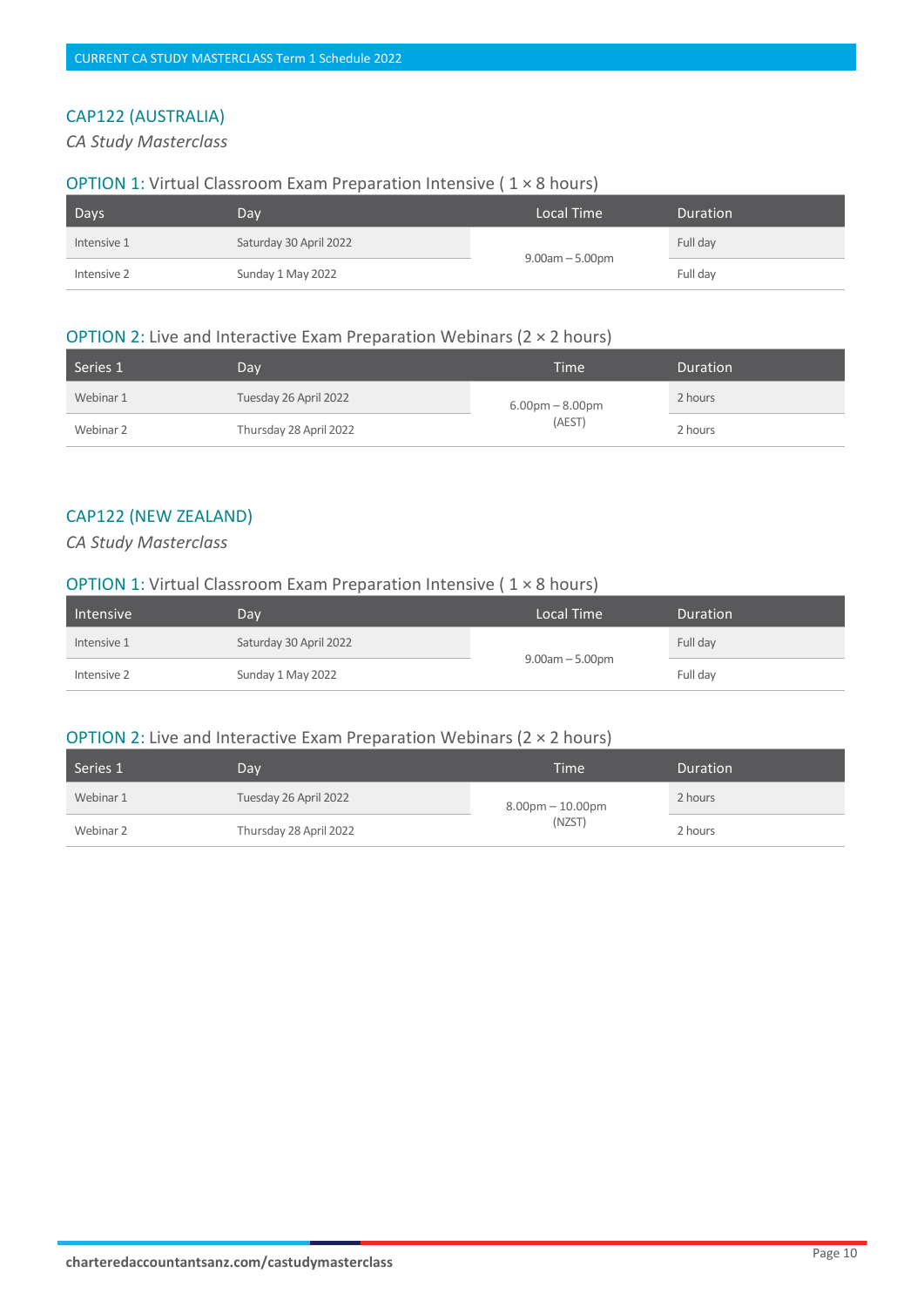# CAP122 (AUSTRALIA)

#### *CA Study Masterclass*

#### OPTION 1: Virtual Classroom Exam Preparation Intensive ( 1 × 8 hours)

| Days        | Day,                   | Local Time           | <b>Duration</b> |
|-------------|------------------------|----------------------|-----------------|
| Intensive 1 | Saturday 30 April 2022 | $9.00$ am $-5.00$ pm | Full day        |
| Intensive 2 | Sunday 1 May 2022      |                      | Full day        |

#### OPTION 2: Live and Interactive Exam Preparation Webinars (2 × 2 hours)

| Series 1  | Dav                    | Time                        | <b>Duration</b> |
|-----------|------------------------|-----------------------------|-----------------|
| Webinar 1 | Tuesday 26 April 2022  | $6.00pm - 8.00pm$<br>(AEST) | 2 hours         |
| Webinar 2 | Thursday 28 April 2022 |                             | 2 hours         |

#### CAP122 (NEW ZEALAND)

*CA Study Masterclass* 

#### OPTION 1: Virtual Classroom Exam Preparation Intensive ( 1 × 8 hours)

| Intensive   | Day.                   | Local Time           | <b>Duration</b> |
|-------------|------------------------|----------------------|-----------------|
| Intensive 1 | Saturday 30 April 2022 | $9.00$ am $-5.00$ pm | Full day        |
| Intensive 2 | Sunday 1 May 2022      |                      | Full day        |

#### **OPTION 2: Live and Interactive Exam Preparation Webinars (2**  $\times$  **2 hours)**

| Series 1  | Dav                    | Time                         | <b>Duration</b> |
|-----------|------------------------|------------------------------|-----------------|
| Webinar 1 | Tuesday 26 April 2022  | $8.00pm - 10.00pm$<br>(NZST) | 2 hours         |
| Webinar 2 | Thursday 28 April 2022 |                              | 2 hours         |